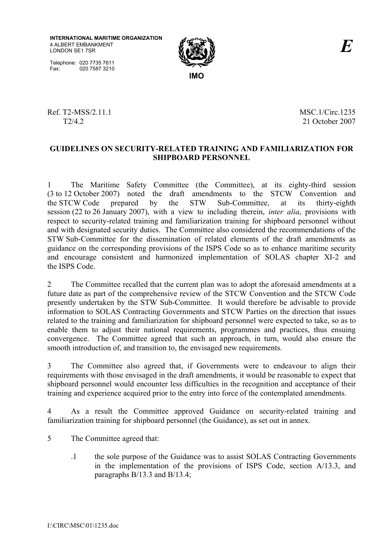



Ref. T2-MSS/2.11.1 MSC.1/Circ.1235

T2/4.2 21 October 2007

#### **GUIDELINES ON SECURITY-RELATED TRAINING AND FAMILIARIZATION FOR SHIPBOARD PERSONNEL**

1 The Maritime Safety Committee (the Committee), at its eighty-third session (3 to 12 October 2007) noted the draft amendments to the STCW Convention and the STCW Code prepared by the STW Sub-Committee, at its thirty-eighth session (22 to 26 January 2007), with a view to including therein, *inter alia*, provisions with respect to security-related training and familiarization training for shipboard personnel without and with designated security duties. The Committee also considered the recommendations of the STW Sub-Committee for the dissemination of related elements of the draft amendments as guidance on the corresponding provisions of the ISPS Code so as to enhance maritime security and encourage consistent and harmonized implementation of SOLAS chapter XI-2 and the ISPS Code.

2 The Committee recalled that the current plan was to adopt the aforesaid amendments at a future date as part of the comprehensive review of the STCW Convention and the STCW Code presently undertaken by the STW Sub-Committee. It would therefore be advisable to provide information to SOLAS Contracting Governments and STCW Parties on the direction that issues related to the training and familiarization for shipboard personnel were expected to take, so as to enable them to adjust their national requirements, programmes and practices, thus ensuing convergence. The Committee agreed that such an approach, in turn, would also ensure the smooth introduction of, and transition to, the envisaged new requirements.

3 The Committee also agreed that, if Governments were to endeavour to align their requirements with those envisaged in the draft amendments, it would be reasonable to expect that shipboard personnel would encounter less difficulties in the recognition and acceptance of their training and experience acquired prior to the entry into force of the contemplated amendments.

4 As a result the Committee approved Guidance on security-related training and familiarization training for shipboard personnel (the Guidance), as set out in annex.

- 5 The Committee agreed that:
	- .1 the sole purpose of the Guidance was to assist SOLAS Contracting Governments in the implementation of the provisions of ISPS Code, section A/13.3, and paragraphs B/13.3 and B/13.4;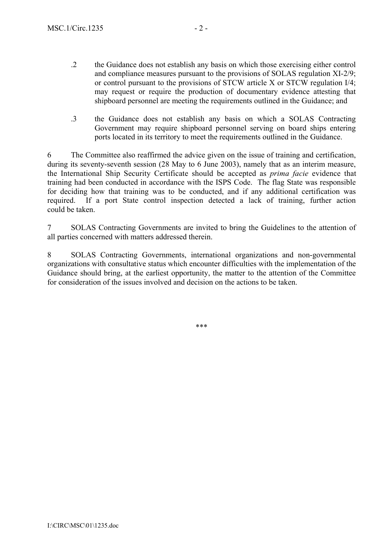- .2 the Guidance does not establish any basis on which those exercising either control and compliance measures pursuant to the provisions of SOLAS regulation XI-2/9; or control pursuant to the provisions of STCW article X or STCW regulation I/4; may request or require the production of documentary evidence attesting that shipboard personnel are meeting the requirements outlined in the Guidance; and
- .3 the Guidance does not establish any basis on which a SOLAS Contracting Government may require shipboard personnel serving on board ships entering ports located in its territory to meet the requirements outlined in the Guidance.

6 The Committee also reaffirmed the advice given on the issue of training and certification, during its seventy-seventh session (28 May to 6 June 2003), namely that as an interim measure, the International Ship Security Certificate should be accepted as *prima facie* evidence that training had been conducted in accordance with the ISPS Code. The flag State was responsible for deciding how that training was to be conducted, and if any additional certification was required. If a port State control inspection detected a lack of training, further action could be taken.

7 SOLAS Contracting Governments are invited to bring the Guidelines to the attention of all parties concerned with matters addressed therein.

8 SOLAS Contracting Governments, international organizations and non-governmental organizations with consultative status which encounter difficulties with the implementation of the Guidance should bring, at the earliest opportunity, the matter to the attention of the Committee for consideration of the issues involved and decision on the actions to be taken.

\*\*\*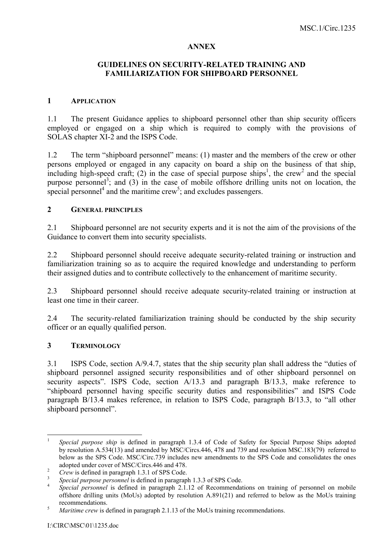#### **ANNEX**

#### **GUIDELINES ON SECURITY-RELATED TRAINING AND FAMILIARIZATION FOR SHIPBOARD PERSONNEL**

#### **1 APPLICATION**

1.1 The present Guidance applies to shipboard personnel other than ship security officers employed or engaged on a ship which is required to comply with the provisions of SOLAS chapter XI-2 and the ISPS Code.

1.2 The term "shipboard personnel" means: (1) master and the members of the crew or other persons employed or engaged in any capacity on board a ship on the business of that ship, including high-speed craft; (2) in the case of special purpose ships<sup>1</sup>, the crew<sup>2</sup> and the special purpose personnel<sup>3</sup>; and (3) in the case of mobile offshore drilling units not on location, the special personnel<sup>4</sup> and the maritime crew<sup>5</sup>; and excludes passengers.

#### **2 GENERAL PRINCIPLES**

2.1 Shipboard personnel are not security experts and it is not the aim of the provisions of the Guidance to convert them into security specialists.

2.2 Shipboard personnel should receive adequate security-related training or instruction and familiarization training so as to acquire the required knowledge and understanding to perform their assigned duties and to contribute collectively to the enhancement of maritime security.

2.3 Shipboard personnel should receive adequate security-related training or instruction at least one time in their career.

2.4 The security-related familiarization training should be conducted by the ship security officer or an equally qualified person.

#### **3 TERMINOLOGY**

 $3.1$  ISPS Code, section A/9.4.7, states that the ship security plan shall address the "duties of shipboard personnel assigned security responsibilities and of other shipboard personnel on security aspects". ISPS Code, section  $A/13.3$  and paragraph  $B/13.3$ , make reference to ìshipboard personnel having specific security duties and responsibilitiesî and ISPS Code paragraph  $B/13.4$  makes reference, in relation to ISPS Code, paragraph  $B/13.3$ , to "all other shipboard personnel".

 $\frac{1}{1}$  *Special purpose ship* is defined in paragraph 1.3.4 of Code of Safety for Special Purpose Ships adopted by resolution A.534(13) and amended by MSC/Circs.446, 478 and 739 and resolution MSC.183(79) referred to below as the SPS Code. MSC/Circ.739 includes new amendments to the SPS Code and consolidates the ones adopted under cover of MSC/Circs.446 and 478.

 $Crew$  is defined in paragraph 1.3.1 of SPS Code.

<sup>&</sup>lt;sup>3</sup> Special purpose personnel is defined in paragraph 1.3.3 of SPS Code.

*Special personnel* is defined in paragraph 2.1.12 of Recommendations on training of personnel on mobile offshore drilling units (MoUs) adopted by resolution A.891(21) and referred to below as the MoUs training recommendations.

*Maritime crew* is defined in paragraph 2.1.13 of the MoUs training recommendations.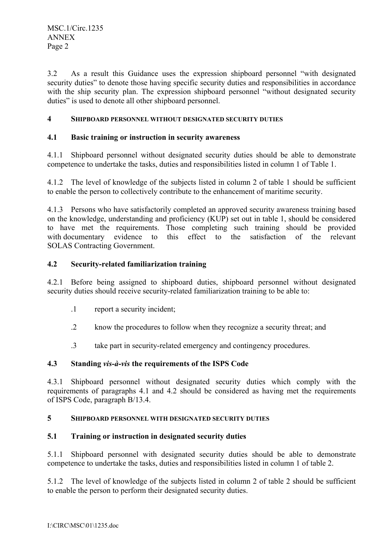3.2 As a result this Guidance uses the expression shipboard personnel "with designated" security duties" to denote those having specific security duties and responsibilities in accordance with the ship security plan. The expression shipboard personnel "without designated security duties" is used to denote all other shipboard personnel.

### **4 SHIPBOARD PERSONNEL WITHOUT DESIGNATED SECURITY DUTIES**

#### **4.1 Basic training or instruction in security awareness**

4.1.1 Shipboard personnel without designated security duties should be able to demonstrate competence to undertake the tasks, duties and responsibilities listed in column 1 of Table 1.

4.1.2 The level of knowledge of the subjects listed in column 2 of table 1 should be sufficient to enable the person to collectively contribute to the enhancement of maritime security.

4.1.3 Persons who have satisfactorily completed an approved security awareness training based on the knowledge, understanding and proficiency (KUP) set out in table 1, should be considered to have met the requirements. Those completing such training should be provided with documentary evidence to this effect to the satisfaction of the relevant SOLAS Contracting Government.

### **4.2 Security-related familiarization training**

4.2.1 Before being assigned to shipboard duties, shipboard personnel without designated security duties should receive security-related familiarization training to be able to:

- .1 report a security incident;
- .2 know the procedures to follow when they recognize a security threat; and
- .3 take part in security-related emergency and contingency procedures.

#### **4.3 Standing** *vis-‡-vis* **the requirements of the ISPS Code**

4.3.1 Shipboard personnel without designated security duties which comply with the requirements of paragraphs 4.1 and 4.2 should be considered as having met the requirements of ISPS Code, paragraph B/13.4.

#### **5 SHIPBOARD PERSONNEL WITH DESIGNATED SECURITY DUTIES**

#### **5.1 Training or instruction in designated security duties**

5.1.1 Shipboard personnel with designated security duties should be able to demonstrate competence to undertake the tasks, duties and responsibilities listed in column 1 of table 2.

5.1.2 The level of knowledge of the subjects listed in column 2 of table 2 should be sufficient to enable the person to perform their designated security duties.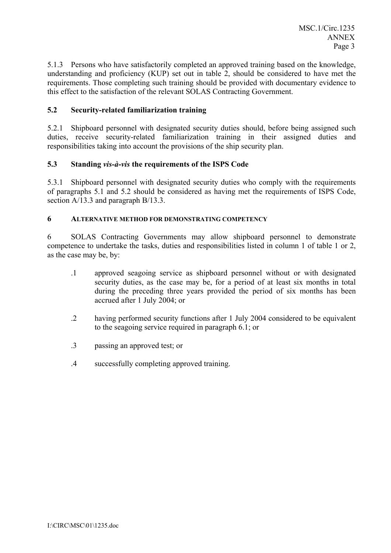5.1.3 Persons who have satisfactorily completed an approved training based on the knowledge, understanding and proficiency (KUP) set out in table 2, should be considered to have met the requirements. Those completing such training should be provided with documentary evidence to this effect to the satisfaction of the relevant SOLAS Contracting Government.

## **5.2 Security-related familiarization training**

5.2.1 Shipboard personnel with designated security duties should, before being assigned such duties, receive security-related familiarization training in their assigned duties and responsibilities taking into account the provisions of the ship security plan.

### **5.3 Standing** *vis-‡-vis* **the requirements of the ISPS Code**

5.3.1 Shipboard personnel with designated security duties who comply with the requirements of paragraphs 5.1 and 5.2 should be considered as having met the requirements of ISPS Code, section A/13.3 and paragraph B/13.3.

### **6 ALTERNATIVE METHOD FOR DEMONSTRATING COMPETENCY**

6 SOLAS Contracting Governments may allow shipboard personnel to demonstrate competence to undertake the tasks, duties and responsibilities listed in column 1 of table 1 or 2, as the case may be, by:

- .1 approved seagoing service as shipboard personnel without or with designated security duties, as the case may be, for a period of at least six months in total during the preceding three years provided the period of six months has been accrued after 1 July 2004; or
- .2 having performed security functions after 1 July 2004 considered to be equivalent to the seagoing service required in paragraph 6.1; or
- .3 passing an approved test; or
- .4 successfully completing approved training.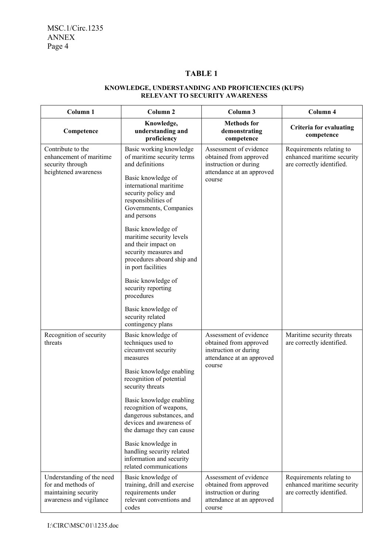# **TABLE 1**

#### **KNOWLEDGE, UNDERSTANDING AND PROFICIENCIES (KUPS) RELEVANT TO SECURITY AWARENESS**

| Column <sub>1</sub>                                                                                | Column <sub>2</sub>                                                                                                                                                                                                                                                                                                                                                                                           | Column 3                                                                                                         | Column 4                                                                            |
|----------------------------------------------------------------------------------------------------|---------------------------------------------------------------------------------------------------------------------------------------------------------------------------------------------------------------------------------------------------------------------------------------------------------------------------------------------------------------------------------------------------------------|------------------------------------------------------------------------------------------------------------------|-------------------------------------------------------------------------------------|
| Competence                                                                                         | Knowledge,<br>understanding and<br>proficiency                                                                                                                                                                                                                                                                                                                                                                | <b>Methods</b> for<br>demonstrating<br>competence                                                                | <b>Criteria for evaluating</b><br>competence                                        |
| Contribute to the<br>enhancement of maritime<br>security through<br>heightened awareness           | Basic working knowledge<br>of maritime security terms<br>and definitions<br>Basic knowledge of<br>international maritime<br>security policy and<br>responsibilities of<br>Governments, Companies<br>and persons<br>Basic knowledge of<br>maritime security levels<br>and their impact on<br>security measures and<br>procedures aboard ship and<br>in port facilities                                         | Assessment of evidence<br>obtained from approved<br>instruction or during<br>attendance at an approved<br>course | Requirements relating to<br>enhanced maritime security<br>are correctly identified. |
|                                                                                                    | Basic knowledge of<br>security reporting<br>procedures<br>Basic knowledge of<br>security related<br>contingency plans                                                                                                                                                                                                                                                                                         |                                                                                                                  |                                                                                     |
| Recognition of security<br>threats                                                                 | Basic knowledge of<br>techniques used to<br>circumvent security<br>measures<br>Basic knowledge enabling<br>recognition of potential<br>security threats<br>Basic knowledge enabling<br>recognition of weapons,<br>dangerous substances, and<br>devices and awareness of<br>the damage they can cause<br>Basic knowledge in<br>handling security related<br>information and security<br>related communications | Assessment of evidence<br>obtained from approved<br>instruction or during<br>attendance at an approved<br>course | Maritime security threats<br>are correctly identified.                              |
| Understanding of the need<br>for and methods of<br>maintaining security<br>awareness and vigilance | Basic knowledge of<br>training, drill and exercise<br>requirements under<br>relevant conventions and<br>codes                                                                                                                                                                                                                                                                                                 | Assessment of evidence<br>obtained from approved<br>instruction or during<br>attendance at an approved<br>course | Requirements relating to<br>enhanced maritime security<br>are correctly identified. |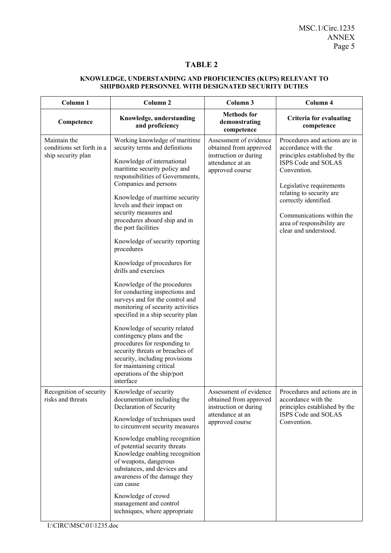# **TABLE 2**

#### **KNOWLEDGE, UNDERSTANDING AND PROFICIENCIES (KUPS) RELEVANT TO SHIPBOARD PERSONNEL WITH DESIGNATED SECURITY DUTIES**

| Column 1                                                        | Column <sub>2</sub>                                                                                                                                                                                                                                                                                                                                                                                                                                                                                                                                                                                                                                                                                                                                                                                                                                                          | Column 3                                                                                                         | Column 4                                                                                                                                                                                                                                                                                         |
|-----------------------------------------------------------------|------------------------------------------------------------------------------------------------------------------------------------------------------------------------------------------------------------------------------------------------------------------------------------------------------------------------------------------------------------------------------------------------------------------------------------------------------------------------------------------------------------------------------------------------------------------------------------------------------------------------------------------------------------------------------------------------------------------------------------------------------------------------------------------------------------------------------------------------------------------------------|------------------------------------------------------------------------------------------------------------------|--------------------------------------------------------------------------------------------------------------------------------------------------------------------------------------------------------------------------------------------------------------------------------------------------|
| Competence                                                      | Knowledge, understanding<br>and proficiency                                                                                                                                                                                                                                                                                                                                                                                                                                                                                                                                                                                                                                                                                                                                                                                                                                  | <b>Methods</b> for<br>demonstrating<br>competence                                                                | <b>Criteria for evaluating</b><br>competence                                                                                                                                                                                                                                                     |
| Maintain the<br>conditions set forth in a<br>ship security plan | Working knowledge of maritime<br>security terms and definitions<br>Knowledge of international<br>maritime security policy and<br>responsibilities of Governments,<br>Companies and persons<br>Knowledge of maritime security<br>levels and their impact on<br>security measures and<br>procedures aboard ship and in<br>the port facilities<br>Knowledge of security reporting<br>procedures<br>Knowledge of procedures for<br>drills and exercises<br>Knowledge of the procedures<br>for conducting inspections and<br>surveys and for the control and<br>monitoring of security activities<br>specified in a ship security plan<br>Knowledge of security related<br>contingency plans and the<br>procedures for responding to<br>security threats or breaches of<br>security, including provisions<br>for maintaining critical<br>operations of the ship/port<br>interface | Assessment of evidence<br>obtained from approved<br>instruction or during<br>attendance at an<br>approved course | Procedures and actions are in<br>accordance with the<br>principles established by the<br>ISPS Code and SOLAS<br>Convention.<br>Legislative requirements<br>relating to security are<br>correctly identified.<br>Communications within the<br>area of responsibility are<br>clear and understood. |
| Recognition of security<br>risks and threats                    | Knowledge of security<br>documentation including the<br>Declaration of Security<br>Knowledge of techniques used<br>to circumvent security measures<br>Knowledge enabling recognition<br>of potential security threats<br>Knowledge enabling recognition<br>of weapons, dangerous<br>substances, and devices and<br>awareness of the damage they<br>can cause<br>Knowledge of crowd<br>management and control<br>techniques, where appropriate                                                                                                                                                                                                                                                                                                                                                                                                                                | Assessment of evidence<br>obtained from approved<br>instruction or during<br>attendance at an<br>approved course | Procedures and actions are in<br>accordance with the<br>principles established by the<br>ISPS Code and SOLAS<br>Convention.                                                                                                                                                                      |